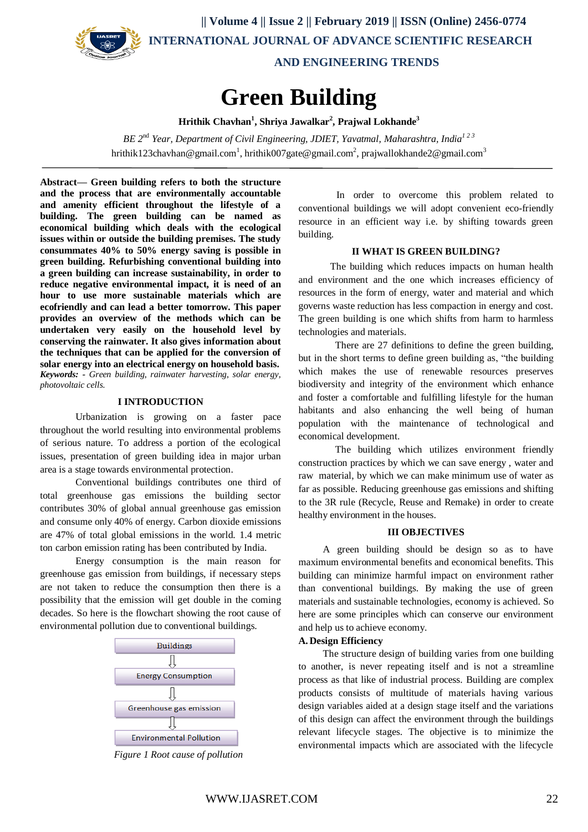

 **|| Volume 4 || Issue 2 || February 2019 || ISSN (Online) 2456-0774 INTERNATIONAL JOURNAL OF ADVANCE SCIENTIFIC RESEARCH** 

 **AND ENGINEERING TRENDS**

# **Green Building**

**Hrithik Chavhan<sup>1</sup> , Shriya Jawalkar<sup>2</sup> , Prajwal Lokhande<sup>3</sup>**

*BE 2*nd *Year, Department of Civil Engineering, JDIET, Yavatmal, Maharashtra, India1 2 3* hrithik123chavhan@gmail.com<sup>1</sup>, hrithik007gate@gmail.com<sup>2</sup>, prajwallokhande2@gmail.com<sup>3</sup>

**Abstract— Green building refers to both the structure and the process that are environmentally accountable and amenity efficient throughout the lifestyle of a building. The green building can be named as economical building which deals with the ecological issues within or outside the building premises. The study consummates 40% to 50% energy saving is possible in green building. Refurbishing conventional building into a green building can increase sustainability, in order to reduce negative environmental impact, it is need of an hour to use more sustainable materials which are ecofriendly and can lead a better tomorrow. This paper provides an overview of the methods which can be undertaken very easily on the household level by conserving the rainwater. It also gives information about the techniques that can be applied for the conversion of solar energy into an electrical energy on household basis.** *Keywords: - Green building, rainwater harvesting, solar energy, photovoltaic cells.*

#### **I INTRODUCTION**

Urbanization is growing on a faster pace throughout the world resulting into environmental problems of serious nature. To address a portion of the ecological issues, presentation of green building idea in major urban area is a stage towards environmental protection.

Conventional buildings contributes one third of total greenhouse gas emissions the building sector contributes 30% of global annual greenhouse gas emission and consume only 40% of energy. Carbon dioxide emissions are 47% of total global emissions in the world. 1.4 metric ton carbon emission rating has been contributed by India.

Energy consumption is the main reason for greenhouse gas emission from buildings, if necessary steps are not taken to reduce the consumption then there is a possibility that the emission will get double in the coming decades. So here is the flowchart showing the root cause of environmental pollution due to conventional buildings.



*Figure 1 Root cause of pollution*

In order to overcome this problem related to conventional buildings we will adopt convenient eco-friendly resource in an efficient way i.e. by shifting towards green building.

#### **II WHAT IS GREEN BUILDING?**

 The building which reduces impacts on human health and environment and the one which increases efficiency of resources in the form of energy, water and material and which governs waste reduction has less compaction in energy and cost. The green building is one which shifts from harm to harmless technologies and materials.

 There are 27 definitions to define the green building, but in the short terms to define green building as, "the building which makes the use of renewable resources preserves biodiversity and integrity of the environment which enhance and foster a comfortable and fulfilling lifestyle for the human habitants and also enhancing the well being of human population with the maintenance of technological and economical development.

 The building which utilizes environment friendly construction practices by which we can save energy , water and raw material, by which we can make minimum use of water as far as possible. Reducing greenhouse gas emissions and shifting to the 3R rule (Recycle, Reuse and Remake) in order to create healthy environment in the houses.

#### **III OBJECTIVES**

 A green building should be design so as to have maximum environmental benefits and economical benefits. This building can minimize harmful impact on environment rather than conventional buildings. By making the use of green materials and sustainable technologies, economy is achieved. So here are some principles which can conserve our environment and help us to achieve economy.

#### **A. Design Efficiency**

 The structure design of building varies from one building to another, is never repeating itself and is not a streamline process as that like of industrial process. Building are complex products consists of multitude of materials having various design variables aided at a design stage itself and the variations of this design can affect the environment through the buildings relevant lifecycle stages. The objective is to minimize the environmental impacts which are associated with the lifecycle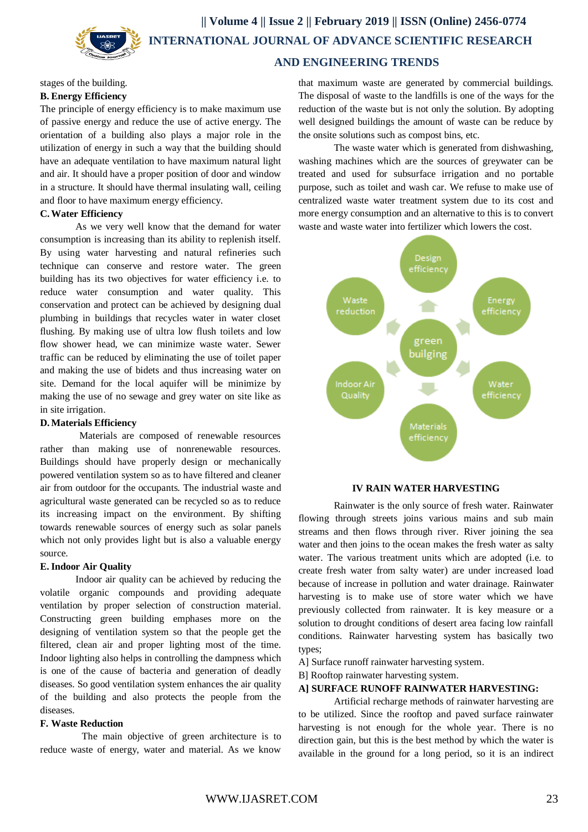

 **|| Volume 4 || Issue 2 || February 2019 || ISSN (Online) 2456-0774 INTERNATIONAL JOURNAL OF ADVANCE SCIENTIFIC RESEARCH** 

# **AND ENGINEERING TRENDS**

#### stages of the building.

# **B. Energy Efficiency**

The principle of energy efficiency is to make maximum use of passive energy and reduce the use of active energy. The orientation of a building also plays a major role in the utilization of energy in such a way that the building should have an adequate ventilation to have maximum natural light and air. It should have a proper position of door and window in a structure. It should have thermal insulating wall, ceiling and floor to have maximum energy efficiency.

#### **C.Water Efficiency**

As we very well know that the demand for water consumption is increasing than its ability to replenish itself. By using water harvesting and natural refineries such technique can conserve and restore water. The green building has its two objectives for water efficiency i.e. to reduce water consumption and water quality. This conservation and protect can be achieved by designing dual plumbing in buildings that recycles water in water closet flushing. By making use of ultra low flush toilets and low flow shower head, we can minimize waste water. Sewer traffic can be reduced by eliminating the use of toilet paper and making the use of bidets and thus increasing water on site. Demand for the local aquifer will be minimize by making the use of no sewage and grey water on site like as in site irrigation.

#### **D.Materials Efficiency**

 Materials are composed of renewable resources rather than making use of nonrenewable resources. Buildings should have properly design or mechanically powered ventilation system so as to have filtered and cleaner air from outdoor for the occupants. The industrial waste and agricultural waste generated can be recycled so as to reduce its increasing impact on the environment. By shifting towards renewable sources of energy such as solar panels which not only provides light but is also a valuable energy source.

#### **E. Indoor Air Quality**

Indoor air quality can be achieved by reducing the volatile organic compounds and providing adequate ventilation by proper selection of construction material. Constructing green building emphases more on the designing of ventilation system so that the people get the filtered, clean air and proper lighting most of the time. Indoor lighting also helps in controlling the dampness which is one of the cause of bacteria and generation of deadly diseases. So good ventilation system enhances the air quality of the building and also protects the people from the diseases.

#### **F. Waste Reduction**

 The main objective of green architecture is to reduce waste of energy, water and material. As we know

that maximum waste are generated by commercial buildings. The disposal of waste to the landfills is one of the ways for the reduction of the waste but is not only the solution. By adopting well designed buildings the amount of waste can be reduce by the onsite solutions such as compost bins, etc.

The waste water which is generated from dishwashing, washing machines which are the sources of greywater can be treated and used for subsurface irrigation and no portable purpose, such as toilet and wash car. We refuse to make use of centralized waste water treatment system due to its cost and more energy consumption and an alternative to this is to convert waste and waste water into fertilizer which lowers the cost.



#### **IV RAIN WATER HARVESTING**

Rainwater is the only source of fresh water. Rainwater flowing through streets joins various mains and sub main streams and then flows through river. River joining the sea water and then joins to the ocean makes the fresh water as salty water. The various treatment units which are adopted (i.e. to create fresh water from salty water) are under increased load because of increase in pollution and water drainage. Rainwater harvesting is to make use of store water which we have previously collected from rainwater. It is key measure or a solution to drought conditions of desert area facing low rainfall conditions. Rainwater harvesting system has basically two types;

A] Surface runoff rainwater harvesting system.

B] Rooftop rainwater harvesting system.

#### **A] SURFACE RUNOFF RAINWATER HARVESTING:**

Artificial recharge methods of rainwater harvesting are to be utilized. Since the rooftop and paved surface rainwater harvesting is not enough for the whole year. There is no direction gain, but this is the best method by which the water is available in the ground for a long period, so it is an indirect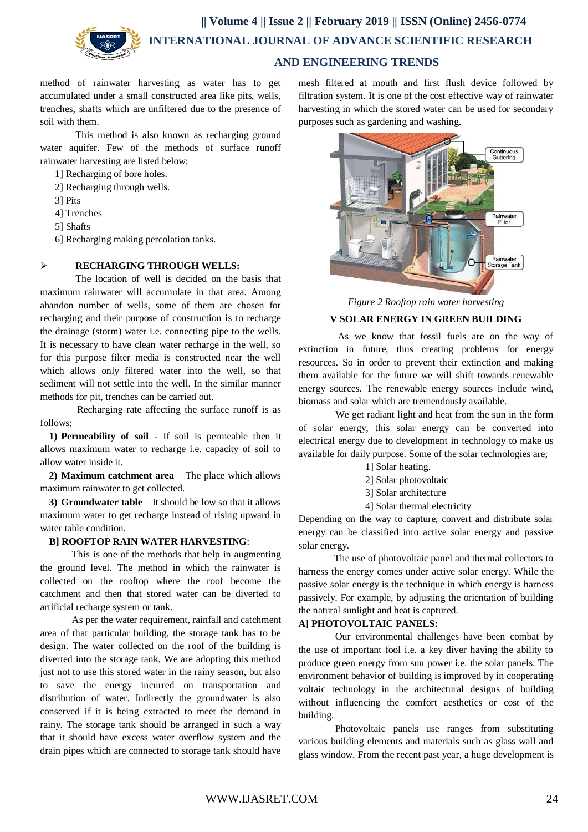

# **AND ENGINEERING TRENDS**

method of rainwater harvesting as water has to get accumulated under a small constructed area like pits, wells, trenches, shafts which are unfiltered due to the presence of soil with them.

This method is also known as recharging ground water aquifer. Few of the methods of surface runoff rainwater harvesting are listed below;

1] Recharging of bore holes.

- 2] Recharging through wells.
- 3] Pits
- 4] Trenches
- 5] Shafts

6] Recharging making percolation tanks.

#### **RECHARGING THROUGH WELLS:**

The location of well is decided on the basis that maximum rainwater will accumulate in that area. Among abandon number of wells, some of them are chosen for recharging and their purpose of construction is to recharge the drainage (storm) water i.e. connecting pipe to the wells. It is necessary to have clean water recharge in the well, so for this purpose filter media is constructed near the well which allows only filtered water into the well, so that sediment will not settle into the well. In the similar manner methods for pit, trenches can be carried out.

 Recharging rate affecting the surface runoff is as follows;

**1) Permeability of soil** - If soil is permeable then it allows maximum water to recharge i.e. capacity of soil to allow water inside it.

**2) Maximum catchment area** – The place which allows maximum rainwater to get collected.

**3) Groundwater table** – It should be low so that it allows maximum water to get recharge instead of rising upward in water table condition.

### **B] ROOFTOP RAIN WATER HARVESTING**:

 This is one of the methods that help in augmenting the ground level. The method in which the rainwater is collected on the rooftop where the roof become the catchment and then that stored water can be diverted to artificial recharge system or tank.

 As per the water requirement, rainfall and catchment area of that particular building, the storage tank has to be design. The water collected on the roof of the building is diverted into the storage tank. We are adopting this method just not to use this stored water in the rainy season, but also to save the energy incurred on transportation and distribution of water. Indirectly the groundwater is also conserved if it is being extracted to meet the demand in rainy. The storage tank should be arranged in such a way that it should have excess water overflow system and the drain pipes which are connected to storage tank should have

mesh filtered at mouth and first flush device followed by filtration system. It is one of the cost effective way of rainwater harvesting in which the stored water can be used for secondary purposes such as gardening and washing.



*Figure 2 Rooftop rain water harvesting*

# **V SOLAR ENERGY IN GREEN BUILDING**

 As we know that fossil fuels are on the way of extinction in future, thus creating problems for energy resources. So in order to prevent their extinction and making them available for the future we will shift towards renewable energy sources. The renewable energy sources include wind, biomass and solar which are tremendously available.

 We get radiant light and heat from the sun in the form of solar energy, this solar energy can be converted into electrical energy due to development in technology to make us available for daily purpose. Some of the solar technologies are;

- 1] Solar heating.
- 2] Solar photovoltaic
- 3] Solar architecture
- 4] Solar thermal electricity

Depending on the way to capture, convert and distribute solar energy can be classified into active solar energy and passive solar energy.

The use of photovoltaic panel and thermal collectors to harness the energy comes under active solar energy. While the passive solar energy is the technique in which energy is harness passively. For example, by adjusting the orientation of building the natural sunlight and heat is captured.

#### **A] PHOTOVOLTAIC PANELS:**

 Our environmental challenges have been combat by the use of important fool i.e. a key diver having the ability to produce green energy from sun power i.e. the solar panels. The environment behavior of building is improved by in cooperating voltaic technology in the architectural designs of building without influencing the comfort aesthetics or cost of the building.

 Photovoltaic panels use ranges from substituting various building elements and materials such as glass wall and glass window. From the recent past year, a huge development is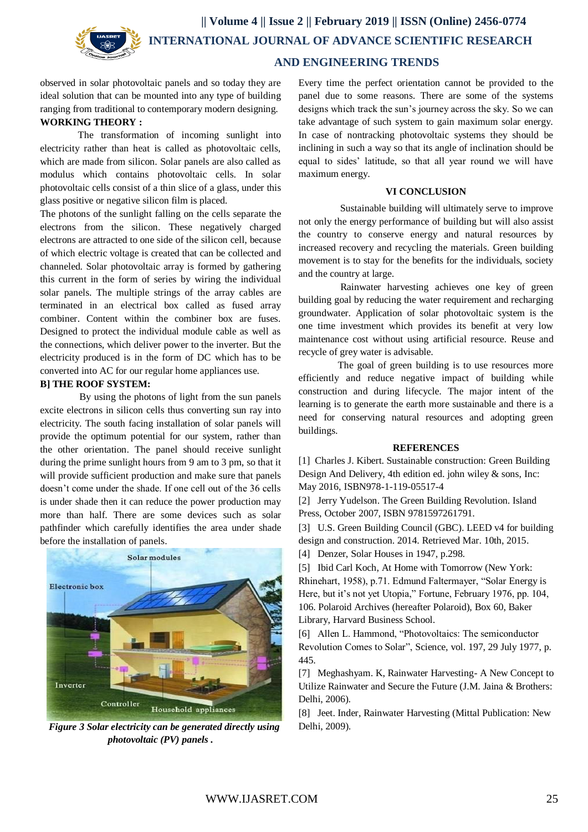

# **AND ENGINEERING TRENDS**

observed in solar photovoltaic panels and so today they are ideal solution that can be mounted into any type of building ranging from traditional to contemporary modern designing. **WORKING THEORY :**

The transformation of incoming sunlight into electricity rather than heat is called as photovoltaic cells, which are made from silicon. Solar panels are also called as modulus which contains photovoltaic cells. In solar photovoltaic cells consist of a thin slice of a glass, under this glass positive or negative silicon film is placed.

The photons of the sunlight falling on the cells separate the electrons from the silicon. These negatively charged electrons are attracted to one side of the silicon cell, because of which electric voltage is created that can be collected and channeled. Solar photovoltaic array is formed by gathering this current in the form of series by wiring the individual solar panels. The multiple strings of the array cables are terminated in an electrical box called as fused array combiner. Content within the combiner box are fuses. Designed to protect the individual module cable as well as the connections, which deliver power to the inverter. But the electricity produced is in the form of DC which has to be converted into AC for our regular home appliances use.

#### **B] THE ROOF SYSTEM:**

 By using the photons of light from the sun panels excite electrons in silicon cells thus converting sun ray into electricity. The south facing installation of solar panels will provide the optimum potential for our system, rather than the other orientation. The panel should receive sunlight during the prime sunlight hours from 9 am to 3 pm, so that it will provide sufficient production and make sure that panels doesn't come under the shade. If one cell out of the 36 cells is under shade then it can reduce the power production may more than half. There are some devices such as solar pathfinder which carefully identifies the area under shade before the installation of panels.



 *Figure 3 Solar electricity can be generated directly using photovoltaic (PV) panels .*

Every time the perfect orientation cannot be provided to the panel due to some reasons. There are some of the systems designs which track the sun's journey across the sky. So we can take advantage of such system to gain maximum solar energy. In case of nontracking photovoltaic systems they should be inclining in such a way so that its angle of inclination should be equal to sides' latitude, so that all year round we will have maximum energy.

#### **VI CONCLUSION**

 Sustainable building will ultimately serve to improve not only the energy performance of building but will also assist the country to conserve energy and natural resources by increased recovery and recycling the materials. Green building movement is to stay for the benefits for the individuals, society and the country at large.

 Rainwater harvesting achieves one key of green building goal by reducing the water requirement and recharging groundwater. Application of solar photovoltaic system is the one time investment which provides its benefit at very low maintenance cost without using artificial resource. Reuse and recycle of grey water is advisable.

 The goal of green building is to use resources more efficiently and reduce negative impact of building while construction and during lifecycle. The major intent of the learning is to generate the earth more sustainable and there is a need for conserving natural resources and adopting green buildings.

#### **REFERENCES**

[1] Charles J. Kibert. Sustainable construction: Green Building Design And Delivery, 4th edition ed. john wiley & sons, Inc: May 2016, ISBN978-1-119-05517-4

[2] Jerry Yudelson. The Green Building Revolution. Island Press, October 2007, ISBN 9781597261791.

[3] U.S. Green Building Council (GBC). LEED v4 for building design and construction. 2014. Retrieved Mar. 10th, 2015.

[4] Denzer, Solar Houses in 1947, p.298.

[5] Ibid Carl Koch, At Home with Tomorrow (New York: Rhinehart, 1958), p.71. Edmund Faltermayer, "Solar Energy is Here, but it's not yet Utopia," Fortune, February 1976, pp. 104, 106. Polaroid Archives (hereafter Polaroid), Box 60, Baker Library, Harvard Business School.

[6] Allen L. Hammond, "Photovoltaics: The semiconductor Revolution Comes to Solar", Science, vol. 197, 29 July 1977, p. 445.

[7] Meghashyam. K, Rainwater Harvesting- A New Concept to Utilize Rainwater and Secure the Future (J.M. Jaina & Brothers: Delhi, 2006).

[8] Jeet. Inder, Rainwater Harvesting (Mittal Publication: New Delhi, 2009).